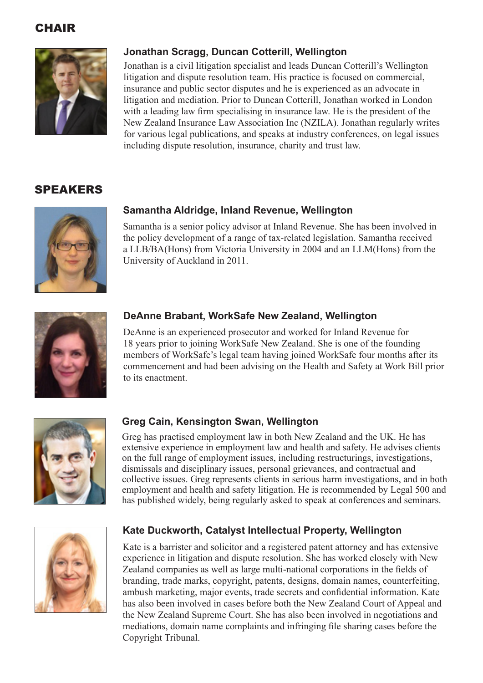# **CHAIR**



# **Jonathan Scragg, Duncan Cotterill, Wellington**

Jonathan is a civil litigation specialist and leads Duncan Cotterill's Wellington litigation and dispute resolution team. His practice is focused on commercial, insurance and public sector disputes and he is experienced as an advocate in litigation and mediation. Prior to Duncan Cotterill, Jonathan worked in London with a leading law firm specialising in insurance law. He is the president of the New Zealand Insurance Law Association Inc (NZILA). Jonathan regularly writes for various legal publications, and speaks at industry conferences, on legal issues including dispute resolution, insurance, charity and trust law.

# SPEAKERS



# **Samantha Aldridge, Inland Revenue, Wellington**

Samantha is a senior policy advisor at Inland Revenue. She has been involved in the policy development of a range of tax-related legislation. Samantha received a LLB/BA(Hons) from Victoria University in 2004 and an LLM(Hons) from the University of Auckland in 2011.



# **DeAnne Brabant, WorkSafe New Zealand, Wellington**

DeAnne is an experienced prosecutor and worked for Inland Revenue for 18 years prior to joining WorkSafe New Zealand. She is one of the founding members of WorkSafe's legal team having joined WorkSafe four months after its commencement and had been advising on the Health and Safety at Work Bill prior to its enactment.



# **Greg Cain, Kensington Swan, Wellington**

Greg has practised employment law in both New Zealand and the UK. He has extensive experience in employment law and health and safety. He advises clients on the full range of employment issues, including restructurings, investigations, dismissals and disciplinary issues, personal grievances, and contractual and collective issues. Greg represents clients in serious harm investigations, and in both employment and health and safety litigation. He is recommended by Legal 500 and has published widely, being regularly asked to speak at conferences and seminars.



# **Kate Duckworth, Catalyst Intellectual Property, Wellington**

Kate is a barrister and solicitor and a registered patent attorney and has extensive experience in litigation and dispute resolution. She has worked closely with New Zealand companies as well as large multi-national corporations in the fields of branding, trade marks, copyright, patents, designs, domain names, counterfeiting, ambush marketing, major events, trade secrets and confidential information. Kate has also been involved in cases before both the New Zealand Court of Appeal and the New Zealand Supreme Court. She has also been involved in negotiations and mediations, domain name complaints and infringing file sharing cases before the Copyright Tribunal.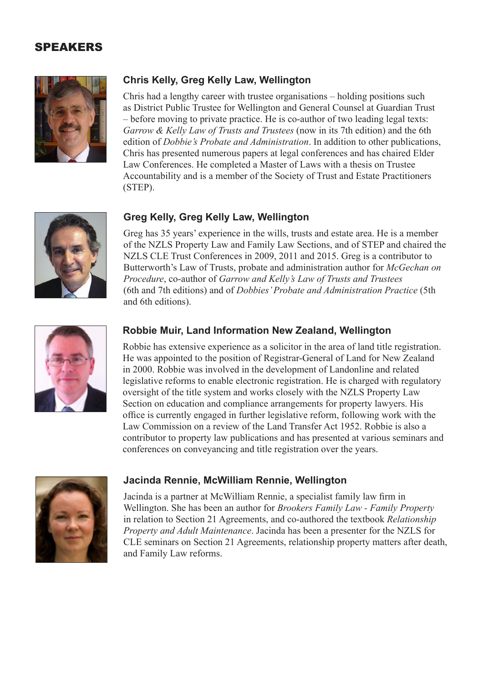# SPEAKERS



# **Chris Kelly, Greg Kelly Law, Wellington**

Chris had a lengthy career with trustee organisations – holding positions such as District Public Trustee for Wellington and General Counsel at Guardian Trust – before moving to private practice. He is co-author of two leading legal texts: *Garrow & Kelly Law of Trusts and Trustees* (now in its 7th edition) and the 6th edition of *Dobbie's Probate and Administration*. In addition to other publications, Chris has presented numerous papers at legal conferences and has chaired Elder Law Conferences. He completed a Master of Laws with a thesis on Trustee Accountability and is a member of the Society of Trust and Estate Practitioners (STEP).

# **Greg Kelly, Greg Kelly Law, Wellington**

Greg has 35 years' experience in the wills, trusts and estate area. He is a member of the NZLS Property Law and Family Law Sections, and of STEP and chaired the NZLS CLE Trust Conferences in 2009, 2011 and 2015. Greg is a contributor to Butterworth's Law of Trusts, probate and administration author for *McGechan on Procedure*, co-author of *Garrow and Kelly's Law of Trusts and Trustees* (6th and 7th editions) and of *Dobbies' Probate and Administration Practice* (5th and 6th editions).



# **Robbie Muir, Land Information New Zealand, Wellington**

Robbie has extensive experience as a solicitor in the area of land title registration. He was appointed to the position of Registrar-General of Land for New Zealand in 2000. Robbie was involved in the development of Landonline and related legislative reforms to enable electronic registration. He is charged with regulatory oversight of the title system and works closely with the NZLS Property Law Section on education and compliance arrangements for property lawyers. His office is currently engaged in further legislative reform, following work with the Law Commission on a review of the Land Transfer Act 1952. Robbie is also a contributor to property law publications and has presented at various seminars and conferences on conveyancing and title registration over the years.



### **Jacinda Rennie, McWilliam Rennie, Wellington**

Jacinda is a partner at McWilliam Rennie, a specialist family law firm in Wellington. She has been an author for *Brookers Family Law - Family Property*  in relation to Section 21 Agreements, and co-authored the textbook *Relationship Property and Adult Maintenance*. Jacinda has been a presenter for the NZLS for CLE seminars on Section 21 Agreements, relationship property matters after death, and Family Law reforms.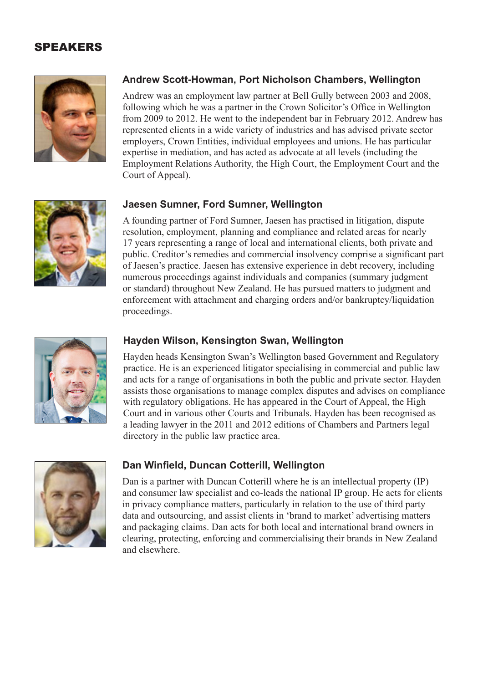# SPEAKERS



# **Andrew Scott-Howman, Port Nicholson Chambers, Wellington**

Andrew was an employment law partner at Bell Gully between 2003 and 2008, following which he was a partner in the Crown Solicitor's Office in Wellington from 2009 to 2012. He went to the independent bar in February 2012. Andrew has represented clients in a wide variety of industries and has advised private sector employers, Crown Entities, individual employees and unions. He has particular expertise in mediation, and has acted as advocate at all levels (including the Employment Relations Authority, the High Court, the Employment Court and the Court of Appeal).



### **Jaesen Sumner, Ford Sumner, Wellington**

A founding partner of Ford Sumner, Jaesen has practised in litigation, dispute resolution, employment, planning and compliance and related areas for nearly 17 years representing a range of local and international clients, both private and public. Creditor's remedies and commercial insolvency comprise a significant part of Jaesen's practice. Jaesen has extensive experience in debt recovery, including numerous proceedings against individuals and companies (summary judgment or standard) throughout New Zealand. He has pursued matters to judgment and enforcement with attachment and charging orders and/or bankruptcy/liquidation proceedings.



#### **Hayden Wilson, Kensington Swan, Wellington**

Hayden heads Kensington Swan's Wellington based Government and Regulatory practice. He is an experienced litigator specialising in commercial and public law and acts for a range of organisations in both the public and private sector. Hayden assists those organisations to manage complex disputes and advises on compliance with regulatory obligations. He has appeared in the Court of Appeal, the High Court and in various other Courts and Tribunals. Hayden has been recognised as a leading lawyer in the 2011 and 2012 editions of Chambers and Partners legal directory in the public law practice area.



#### **Dan Winfield, Duncan Cotterill, Wellington**

Dan is a partner with Duncan Cotterill where he is an intellectual property (IP) and consumer law specialist and co-leads the national IP group. He acts for clients in privacy compliance matters, particularly in relation to the use of third party data and outsourcing, and assist clients in 'brand to market' advertising matters and packaging claims. Dan acts for both local and international brand owners in clearing, protecting, enforcing and commercialising their brands in New Zealand and elsewhere.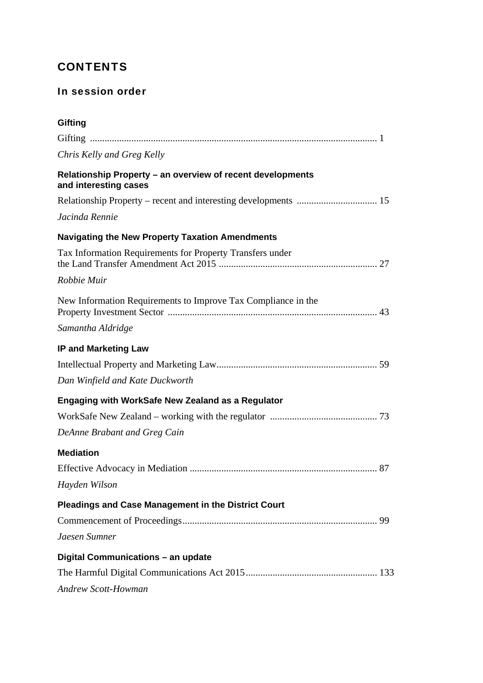# **CONTENTS**

# In session order

| Gifting                                                                             |  |
|-------------------------------------------------------------------------------------|--|
|                                                                                     |  |
| Chris Kelly and Greg Kelly                                                          |  |
| Relationship Property - an overview of recent developments<br>and interesting cases |  |
|                                                                                     |  |
| Jacinda Rennie                                                                      |  |
| <b>Navigating the New Property Taxation Amendments</b>                              |  |
| Tax Information Requirements for Property Transfers under                           |  |
| Robbie Muir                                                                         |  |
| New Information Requirements to Improve Tax Compliance in the                       |  |
| Samantha Aldridge                                                                   |  |
| <b>IP and Marketing Law</b>                                                         |  |
|                                                                                     |  |
| Dan Winfield and Kate Duckworth                                                     |  |
| <b>Engaging with WorkSafe New Zealand as a Regulator</b>                            |  |
|                                                                                     |  |
| DeAnne Brabant and Greg Cain                                                        |  |
| <b>Mediation</b>                                                                    |  |
|                                                                                     |  |
| Hayden Wilson                                                                       |  |
| <b>Pleadings and Case Management in the District Court</b>                          |  |
|                                                                                     |  |
| Jaesen Sumner                                                                       |  |
| Digital Communications - an update                                                  |  |
|                                                                                     |  |
| <b>Andrew Scott-Howman</b>                                                          |  |